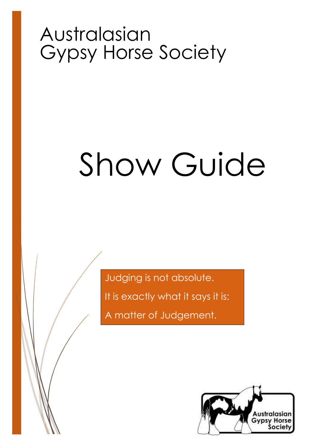# Australasian Gypsy Horse Society

# Show Guide

Judging is not absolute.

It is exactly what it says it is:

A matter of Judgement.

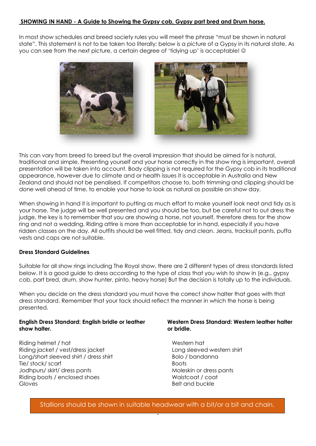### **SHOWING IN HAND - A Guide to Showing the Gypsy cob, Gypsy part bred and Drum horse.**

In most show schedules and breed society rules you will meet the phrase "must be shown in natural state". This statement is not to be taken too literally; below is a picture of a Gypsy in its natural state. As you can see from the next picture, a certain degree of 'tidying up' is acceptable! ©



This can vary from breed to breed but the overall impression that should be aimed for is natural, traditional and simple. Presenting yourself and your horse correctly in the show ring is important, overall presentation will be taken into account. Body clipping is not required for the Gypsy cob in its traditional appearance, however due to climate and or health issues it is acceptable in Australia and New Zealand and should not be penalised. If competitors choose to, both trimming and clipping should be done well ahead of time, to enable your horse to look as natural as possible on show day.

When showing in hand it is important to putting as much effort to make yourself look neat and tidy as is your horse. The judge will be well presented and you should be too, but be careful not to out dress the judge, the key is to remember that you are showing a horse, not yourself, therefore dress for the show ring and not a wedding. Riding attire is more than acceptable for in hand, especially if you have ridden classes on the day. All outfits should be well fitted, tidy and clean. Jeans, tracksuit pants, puffa vests and caps are not suitable.

#### **Dress Standard Guidelines**

Suitable for all show rings including The Royal show, there are 2 different types of dress standards listed below. It is a good guide to dress according to the type of class that you wish to show in (e.g., gypsy cob, part bred, drum, show hunter, pinto, heavy horse) But the decision is totally up to the individuals.

When you decide on the dress standard you must have the correct show halter that goes with that dress standard. Remember that your tack should reflect the manner in which the horse is being presented.

#### **English Dress Standard: English bridle or leather show halter.**

Riding helmet / hat Western hat Western hat Western hat Western hat Western hat N Riding jacket / vest/dress jacket Long sleeved western shirt Long/short sleeved shirt / dress shirt  $\blacksquare$  Bolo / bandanna Tie/ stock/ scarf Boots Jodhpurs/ skirt/ dress pants Moleskin or dress pants Riding boots / enclosed shoes Waistcoat / coat Gloves **Belt** and buckle

#### **Western Dress Standard: Western leather halter or bridle.**

**.** Stallions should be shown in suitable headwear with a bit/or a bit and chain.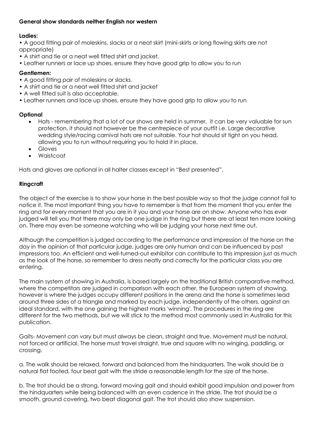# **General show standards neither English nor western**

#### **Ladies:**

• A good fitting pair of moleskins, slacks or a neat skirt (mini-skirts or long flowing skirts are not appropriate)

- A shirt and tie or a neat well fitted shirt and jacket.
- Leather runners or lace up shoes, ensure they have good grip to allow you to run

# **Gentlemen:**

- A good fitting pair of moleskins or slacks.
- A shirt and tie or a neat well fitted shirt and jacket
- A well fitted suit is also acceptable.
- Leather runners and lace up shoes, ensure they have good grip to allow you to run

#### **Optional**

- Hats remembering that a lot of our shows are held in summer, it can be very valuable for sun protection, it should not however be the centrepiece of your outfit i.e. Large decorative wedding style/racing carnival hats are not suitable. Your hat should sit tight on you head, allowing you to run without requiring you to hold it in place.
- Gloves
- Waistcoat

Hats and gloves are optional in all halter classes except in "Best presented".

#### **Ringcraft**

The object of the exercise is to show your horse in the best possible way so that the judge cannot fail to notice it. The most important thing you have to remember is that from the moment that you enter the ring and for every moment that you are in it you and your horse are on show. Anyone who has ever judged will tell you that there may only be one judge in the ring but there are at least ten more looking on. There may even be someone watching who will be judging your horse next time out.

Although the competition is judged according to the performance and impression of the horse on the day in the opinion of that particular judge, judges are only human and can be influenced by past impressions too. An efficient and well-turned-out exhibitor can contribute to this impression just as much as the look of the horse, so remember to dress neatly and correctly for the particular class you are entering.

The main system of showing in Australia, is based largely on the traditional British comparative method, where the competitors are judged in comparison with each other, the European system of showing, however is where the judges occupy different positions in the arena and the horse is sometimes lead around three sides of a triangle and marked by each judge, independently of the others, against an ideal standard, with the one gaining the highest marks 'winning'. The procedures in the ring are different for the two methods, but we will stick to the method most commonly used in Australia for this publication.

Gaits- Movement can vary but must always be clean, straight and true. Movement must be natural, not forced or artificial. The horse must travel straight, true and square with no winging, paddling, or crossing.

a. The walk should be relaxed, forward and balanced from the hindquarters. The walk should be a natural flat footed, four beat gait with the stride a reasonable length for the size of the horse.

b. The trot should be a strong, forward moving gait and should exhibit good impulsion and power from the hindquarters while being balanced with an even cadence in the stride. The trot should be a smooth, ground covering, two beat diagonal gait. The trot should also show suspension.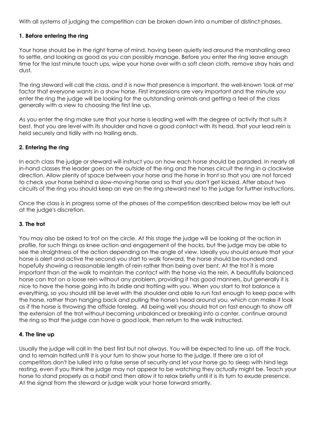With all systems of judging the competition can be broken down into a number of distinct phases.

# **1. Before entering the ring**

Your horse should be in the right frame of mind, having been quietly led around the marshalling area to settle, and looking as good as you can possibly manage. Before you enter the ring leave enough time for the last minute touch ups, wipe your horse over with a soft clean cloth, remove stray hairs and dust.

The ring steward will call the class, and it is now that presence is important, the well-known 'look at me' factor that everyone wants in a show horse. First impressions are very important and the minute you enter the ring the judge will be looking for the outstanding animals and getting a feel of the class generally with a view to choosing the first line up.

As you enter the ring make sure that your horse is leading well with the degree of activity that suits it best, that you are level with its shoulder and have a good contact with its head, that your lead rein is held securely and tidily with no trailing ends.

#### **2. Entering the ring**

In each class the judge or steward will instruct you on how each horse should be paraded. In nearly all in-hand classes the leader goes on the outside of the ring and the horses circuit the ring in a clockwise direction. Allow plenty of space between your horse and the horse in front so that you are not forced to check your horse behind a slow-moving horse and so that you don't get kicked. After about two circuits of the ring you should keep an eye on the ring steward next to the judge for further instructions.

Once the class is in progress some of the phases of the competition described below may be left out at the judge's discretion.

#### **3. The trot**

You may also be asked to trot on the circle. At this stage the judge will be looking at the action in profile, for such things as knee action and engagement of the hocks, but the judge may be able to see the straightness of the action depending on the angle of view. Ideally you should ensure that your horse is alert and active the second you start to walk forward, the horse should be rounded and hopefully showing a reasonable length of rein rather than being over bent. At the trot it is more important than at the walk to maintain the contact with the horse via the rein. A beautifully balanced horse can trot on a loose rein without any problem, providing it has good manners, but generally it is nice to have the horse going into its bridle and trotting with you. When you start to trot balance is everything, so you should still be level with the shoulder and able to run fast enough to keep pace with the horse, rather than hanging back and pulling the horse's head around you, which can make it look as if the horse is throwing the offside foreleg. All being well you should trot on fast enough to show off the extension of the trot without becoming unbalanced or breaking into a canter, continue around the ring so that the judge can have a good look, then return to the walk instructed.

#### **4. The line up**

Usually the judge will call in the best first but not always. You will be expected to line up, off the track, and to remain halted until it is your turn to show your horse to the judge. If there are a lot of competitors don't be lulled into a false sense of security and let your horse go to sleep with hind legs resting, even if you think the judge may not appear to be watching they actually might be. Teach your horse to stand properly as a habit and then allow it to relax briefly until it is its turn to exude presence. At the signal from the steward or judge walk your horse forward smartly.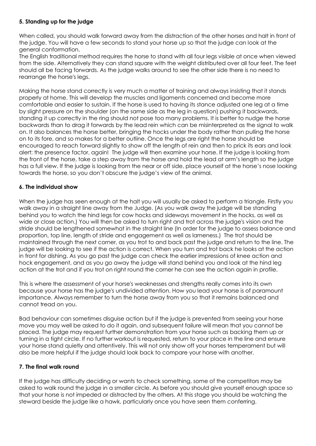# **5. Standing up for the judge**

When called, you should walk forward away from the distraction of the other horses and halt in front of the judge. You will have a few seconds to stand your horse up so that the judge can look at the general conformation.

The English traditional method requires the horse to stand with all four legs visible at once when viewed from the side. Alternatively they can stand square with the weight distributed over all four feet. The feet should all be facing forwards. As the judge walks around to see the other side there is no need to rearrange the horse's legs.

Making the horse stand correctly is very much a matter of training and always insisting that it stands properly at home. This will develop the muscles and ligaments concerned and become more comfortable and easier to sustain. If the horse is used to having its stance adjusted one leg at a time by slight pressure on the shoulder (on the same side as the leg in question) pushing it backwards, standing it up correctly in the ring should not pose too many problems. It is better to nudge the horse backwards than to drag it forwards by the lead rein which can be misinterpreted as the signal to walk on. It also balances the horse better, bringing the hocks under the body rather than pulling the horse on to its fore, and so makes for a better outline. Once the legs are right the horse should be encouraged to reach forward slightly to show off the length of rein and then to prick its ears and look alert: the presence factor, again! The judge will then examine your horse. If the judge is looking from the front of the horse, take a step away from the horse and hold the lead at arm's length so the judge has a full view. If the judge is looking from the near or off side, place yourself at the horse's nose looking towards the horse, so you don't obscure the judge's view of the animal.

# **6. The individual show**

When the judge has seen enough at the halt you will usually be asked to perform a triangle. Firstly you walk away in a straight line away from the Judge. (As you walk away the judge will be standing behind you to watch the hind legs for cow hocks and sideways movement in the hocks, as well as wide or close action.) You will then be asked to turn right and trot across the judge's vision and the stride should be lengthened somewhat in the straight line (In order for the judge to assess balance and proportion, top line, length of stride and engagement as well as lameness.) The trot should be maintained through the next corner, as you trot to and back past the judge and return to the line. The judge will be looking to see if the action is correct. When you turn and trot back he looks at the action in front for dishing. As you go past the judge can check the earlier impressions of knee action and hock engagement, and as you go away the judge will stand behind you and look at the hind leg action at the trot and if you trot on right round the corner he can see the action again in profile.

This is where the assessment of your horse's weaknesses and strengths really comes into its own because your horse has the judge's undivided attention. How you lead your horse is of paramount importance. Always remember to turn the horse away from you so that it remains balanced and cannot tread on you.

Bad behaviour can sometimes disguise action but if the judge is prevented from seeing your horse move you may well be asked to do it again, and subsequent failure will mean that you cannot be placed. The judge may request further demonstration from your horse such as backing them up or turning in a tight circle. If no further workout is requested, return to your place in the line and ensure your horse stand quietly and attentively. This will not only show off your horses temperament but will also be more helpful if the judge should look back to compare your horse with another.

# **7. The final walk round**

If the judge has difficulty deciding or wants to check something, some of the competitors may be asked to walk round the judge in a smaller circle. As before you should give yourself enough space so that your horse is not impeded or distracted by the others. At this stage you should be watching the steward beside the judge like a hawk, particularly once you have seen them conferring.